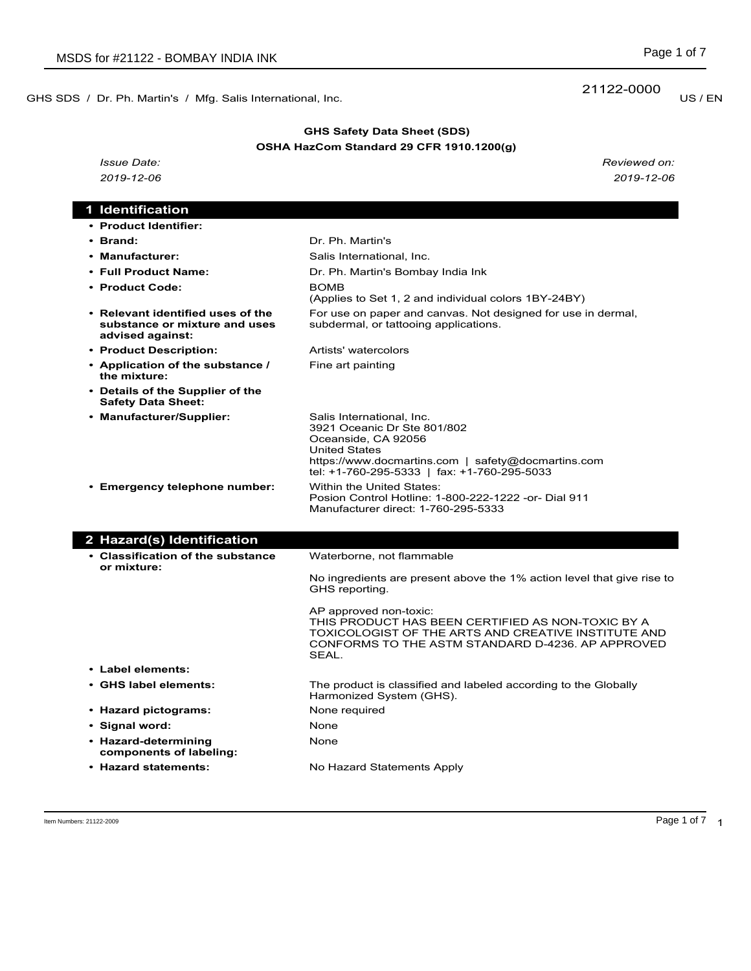GHS SDS / Dr. Ph. Martin's / Mfg. Salis International, Inc. **Example 2000** US / EN

# **GHS Safety Data Sheet (SDS) OSHA HazCom Standard 29 CFR 1910.1200(g)**

*Issue Date: Reviewed on: 2019-12-06 2019-12-06*

# **1 Identification • Product Identifier:** • Brand: **Dr. Ph. Martin's** • Manufacturer: Salis International, Inc.

| • Full Product Name:                                                                   | Dr. Ph. Martin's Bombay India Ink                                                                                                                                                                            |
|----------------------------------------------------------------------------------------|--------------------------------------------------------------------------------------------------------------------------------------------------------------------------------------------------------------|
| • Product Code:                                                                        | <b>BOMB</b><br>(Applies to Set 1, 2 and individual colors 1BY-24BY)                                                                                                                                          |
| • Relevant identified uses of the<br>substance or mixture and uses<br>advised against: | For use on paper and canvas. Not designed for use in dermal,<br>subdermal, or tattooing applications.                                                                                                        |
| • Product Description:                                                                 | Artists' watercolors                                                                                                                                                                                         |
| • Application of the substance /<br>the mixture:                                       | Fine art painting                                                                                                                                                                                            |
| • Details of the Supplier of the<br><b>Safety Data Sheet:</b>                          |                                                                                                                                                                                                              |
| • Manufacturer/Supplier:                                                               | Salis International, Inc.<br>3921 Oceanic Dr Ste 801/802<br>Oceanside, CA 92056<br><b>United States</b><br>https://www.docmartins.com   safety@docmartins.com<br>tel: +1-760-295-5333   fax: +1-760-295-5033 |
| • Emergency telephone number:                                                          | Within the United States:<br>Posion Control Hotline: 1-800-222-1222 -or- Dial 911<br>Manufacturer direct: 1-760-295-5333                                                                                     |
|                                                                                        |                                                                                                                                                                                                              |
| 2 Hazard(s) Identification                                                             |                                                                                                                                                                                                              |
| • Classification of the substance<br>or mixture:                                       | Waterborne, not flammable                                                                                                                                                                                    |
|                                                                                        | No ingredients are present above the 1% action level that give rise to<br>GHS reporting.                                                                                                                     |
|                                                                                        | AP approved non-toxic:<br>THIS PRODUCT HAS BEEN CERTIFIED AS NON-TOXIC BY A<br>TOXICOLOGIST OF THE ARTS AND CREATIVE INSTITUTE AND<br>CONFORMS TO THE ASTM STANDARD D-4236, AP APPROVED<br>SEAL.             |
| • Label elements:                                                                      |                                                                                                                                                                                                              |
| • GHS label elements:                                                                  | The product is classified and labeled according to the Globally<br>Harmonized System (GHS).                                                                                                                  |
| • Hazard pictograms:                                                                   | None required                                                                                                                                                                                                |
| • Signal word:                                                                         | None                                                                                                                                                                                                         |
| • Hazard-determining<br>components of labeling:                                        | None                                                                                                                                                                                                         |

21122-0000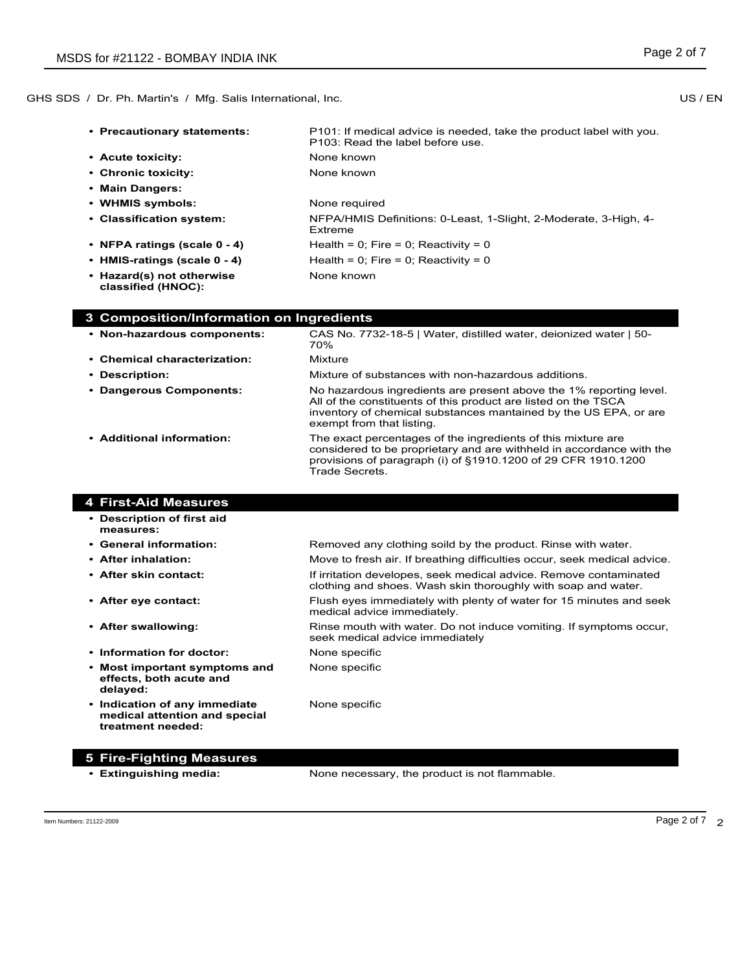**• Precautionary statements:** P101: If medical advice is needed, take the product label with you. P103: Read the label before use. • **Acute toxicity:** None known • Chronic toxicity: None known **• Main Dangers:** • **WHMIS symbols:** None required **• Classification system:** NFPA/HMIS Definitions: 0-Least, 1-Slight, 2-Moderate, 3-High, 4- Extreme **• NFPA ratings (scale 0 - 4)** Health = 0; Fire = 0; Reactivity = 0 • **HMIS-ratings (scale**  $0 - 4$ **)** Health = 0; Fire = 0; Reactivity = 0 **• Hazard(s) not otherwise classified (HNOC):** None known

| 3 Composition/Information on Ingredients |                                                                                                                                                                                                                                       |
|------------------------------------------|---------------------------------------------------------------------------------------------------------------------------------------------------------------------------------------------------------------------------------------|
| • Non-hazardous components:              | CAS No. 7732-18-5   Water, distilled water, deionized water   50-<br>70%                                                                                                                                                              |
| • Chemical characterization:             | Mixture                                                                                                                                                                                                                               |
| • Description:                           | Mixture of substances with non-hazardous additions.                                                                                                                                                                                   |
| • Dangerous Components:                  | No hazardous ingredients are present above the 1% reporting level.<br>All of the constituents of this product are listed on the TSCA<br>inventory of chemical substances mantained by the US EPA, or are<br>exempt from that listing. |
| • Additional information:                | The exact percentages of the ingredients of this mixture are<br>considered to be proprietary and are withheld in accordance with the<br>provisions of paragraph (i) of $\S1910.1200$ of 29 CFR 1910.1200<br>Trade Secrets.            |

medical advice immediately.

seek medical advice immediately

# **4 First-Aid Measures**

- **• Description of first aid measures:**
- General information: Removed any clothing soild by the product. Rinse with water. • **After inhalation:** Move to fresh air. If breathing difficulties occur, seek medical advice.
- **• After skin contact:** If irritation developes, seek medical advice. Remove contaminated
- After eye contact: Flush eyes immediately with plenty of water for 15 minutes and seek
- After swallowing: Rinse mouth with water. Do not induce vomiting. If symptoms occur,
- **Information for doctor:** None specific
- **• Most important symptoms and effects, both acute and delayed:**
- **• Indication of any immediate medical attention and special treatment needed:**

None specific

None specific

# **5 Fire-Fighting Measures**

**• Extinguishing media:** None necessary, the product is not flammable.

clothing and shoes. Wash skin thoroughly with soap and water.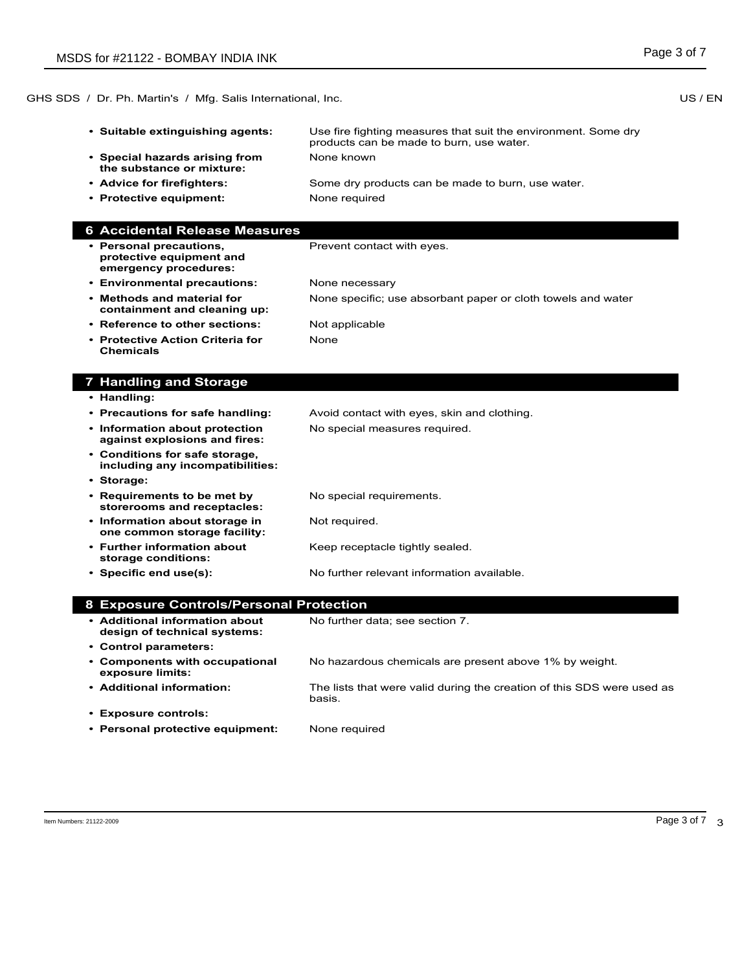GHS SDS / Dr. Ph. Martin's / Mfg. Salis International, Inc. New York Control of the US / EN

- **• Suitable extinguishing agents:** Use fire fighting measures that suit the environment. Some dry
- **• Special hazards arising from the substance or mixture:**
- **• Advice for firefighters:** Some dry products can be made to burn, use water.
- **Protective equipment:** None required

### **6 Accidental Release Measures**

**• Personal precautions, protective equipment and emergency procedures:**

Prevent contact with eyes.

None known

products can be made to burn, use water.

- **• Environmental precautions:** None necessary **• Methods and material for**  None specific; use absorbant paper or cloth towels and water
- **containment and cleaning up:**
- **Reference to other sections:** Not applicable
- None
- **• Protective Action Criteria for Chemicals**

# **7 Handling and Storage**

- **• Handling:**
- **• Precautions for safe handling:** Avoid contact with eyes, skin and clothing. **• Information about protection against explosions and fires:** No special measures required. **• Conditions for safe storage, including any incompatibilities: • Storage: • Requirements to be met by storerooms and receptacles:** No special requirements. **• Information about storage in one common storage facility:** Not required. **• Further information about storage conditions:** Keep receptacle tightly sealed. **• Specific end use(s):** No further relevant information available. **8 Exposure Controls/Personal Protection**
- **• Additional information about design of technical systems:** No further data; see section 7. **• Control parameters: • Components with occupational exposure limits:** No hazardous chemicals are present above 1% by weight. **• Additional information:** The lists that were valid during the creation of this SDS were used as basis. **• Exposure controls: • Personal protective equipment:** None required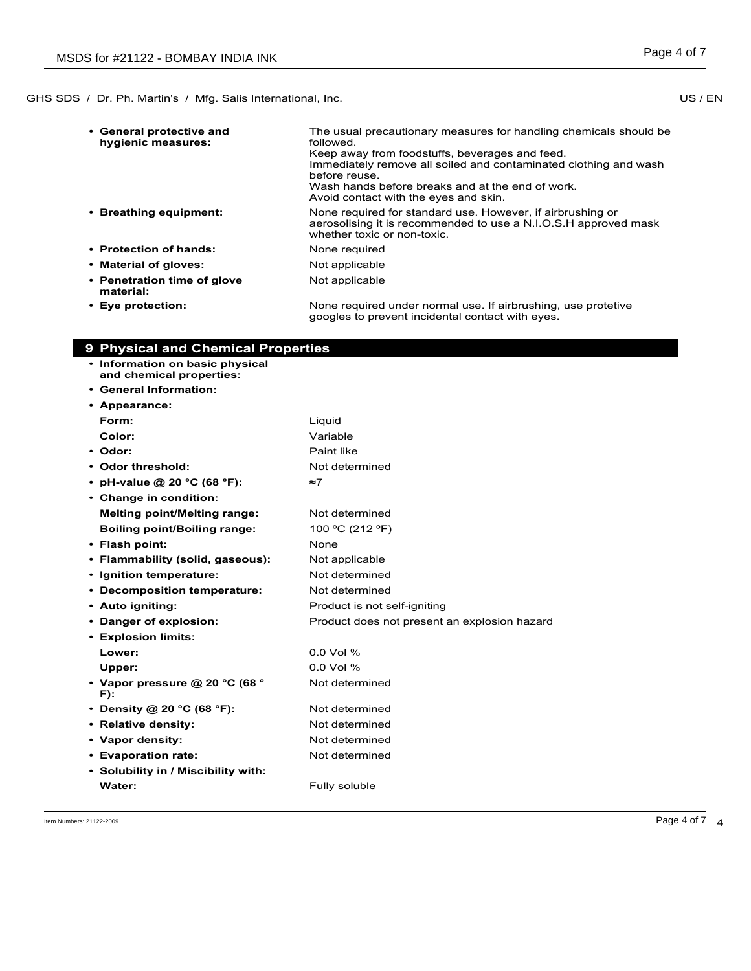| • General protective and<br>hygienic measures: | The usual precautionary measures for handling chemicals should be<br>followed.<br>Keep away from foodstuffs, beverages and feed.<br>Immediately remove all soiled and contaminated clothing and wash<br>before reuse<br>Wash hands before breaks and at the end of work.<br>Avoid contact with the eyes and skin. |
|------------------------------------------------|-------------------------------------------------------------------------------------------------------------------------------------------------------------------------------------------------------------------------------------------------------------------------------------------------------------------|
| • Breathing equipment:                         | None required for standard use. However, if airbrushing or<br>aerosolising it is recommended to use a N.I.O.S.H approved mask<br>whether toxic or non-toxic.                                                                                                                                                      |
| • Protection of hands:                         | None required                                                                                                                                                                                                                                                                                                     |
| • Material of gloves:                          | Not applicable                                                                                                                                                                                                                                                                                                    |
| • Penetration time of glove<br>material:       | Not applicable                                                                                                                                                                                                                                                                                                    |
| • Eye protection:                              | None required under normal use. If airbrushing, use protetive                                                                                                                                                                                                                                                     |

googles to prevent incidental contact with eyes.

| <b>9 Physical and Chemical Properties</b>                   |                                              |
|-------------------------------------------------------------|----------------------------------------------|
| • Information on basic physical<br>and chemical properties: |                                              |
| • General Information:                                      |                                              |
| • Appearance:                                               |                                              |
| Form:                                                       | Liquid                                       |
| Color:                                                      | Variable                                     |
| • Odor:                                                     | Paint like                                   |
| • Odor threshold:                                           | Not determined                               |
| • pH-value @ 20 °C (68 °F):                                 | ≈7                                           |
| • Change in condition:                                      |                                              |
| <b>Melting point/Melting range:</b>                         | Not determined                               |
| <b>Boiling point/Boiling range:</b>                         | 100 °C (212 °F)                              |
| • Flash point:                                              | None                                         |
| • Flammability (solid, gaseous):                            | Not applicable                               |
| • Ignition temperature:                                     | Not determined                               |
| • Decomposition temperature:                                | Not determined                               |
| • Auto igniting:                                            | Product is not self-igniting                 |
| • Danger of explosion:                                      | Product does not present an explosion hazard |
| • Explosion limits:                                         |                                              |
| Lower:                                                      | $0.0$ Vol %                                  |
| Upper:                                                      | $0.0$ Vol %                                  |
| • Vapor pressure @ 20 °C (68 °<br>F):                       | Not determined                               |
| • Density @ 20 °C (68 °F):                                  | Not determined                               |
| • Relative density:                                         | Not determined                               |
| • Vapor density:                                            | Not determined                               |
| • Evaporation rate:                                         | Not determined                               |
| • Solubility in / Miscibility with:                         |                                              |
| Water:                                                      | Fully soluble                                |
|                                                             |                                              |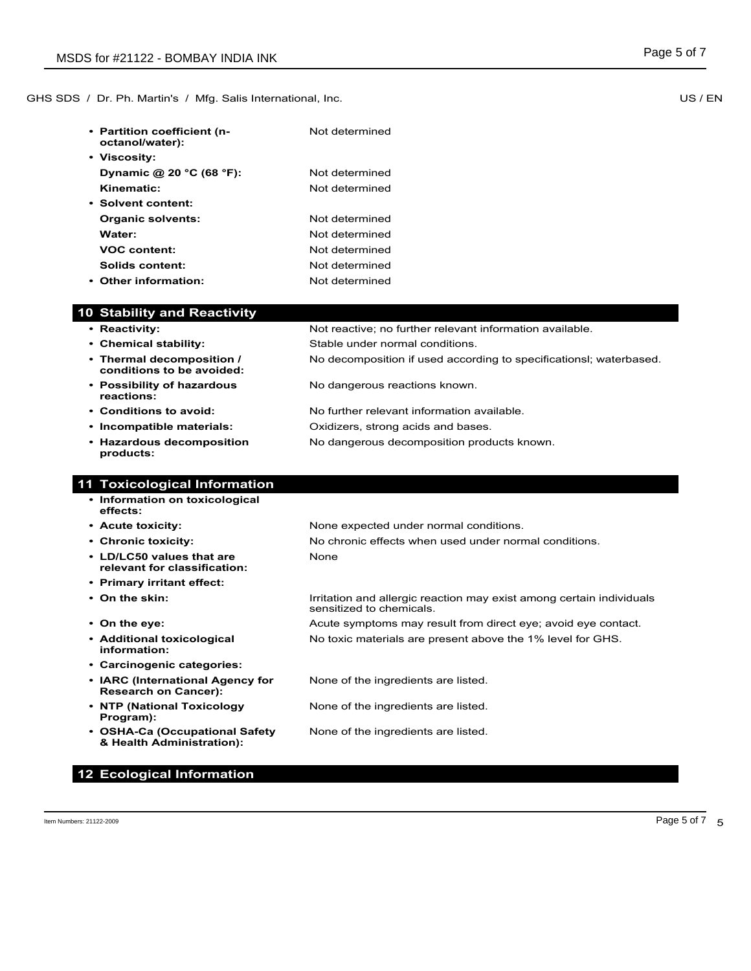GHS SDS / Dr. Ph. Martin's / Mfg. Salis International, Inc. New York Control of the US / EN

| • Partition coefficient (n-<br>octanol/water): | Not determined |
|------------------------------------------------|----------------|
| • Viscosity:                                   |                |
| Dynamic @ 20 $^{\circ}$ C (68 $^{\circ}$ F):   | Not determined |
| Kinematic:                                     | Not determined |
| • Solvent content:                             |                |
| Organic solvents:                              | Not determined |
| Water:                                         | Not determined |
| <b>VOC content:</b>                            | Not determined |
| Solids content:                                | Not determined |
| • Other information:                           | Not determined |

# **10 Stability and Reactivity**

- **Reactivity:** Not reactive; no further relevant information available.
- **• Chemical stability:** Stable under normal conditions.
- **• Thermal decomposition / conditions to be avoided:**
- **• Possibility of hazardous reactions:**
- **• Conditions to avoid:** No further relevant information available.
- **• Incompatible materials:** Oxidizers, strong acids and bases.
- **• Hazardous decomposition products:**

# **11 Toxicological Information**

- **• Information on toxicological effects:**
- 
- 
- **• LD/LC50 values that are relevant for classification:**
- **• Primary irritant effect:**
- 
- 
- **• Additional toxicological information:**
- **• Carcinogenic categories:**
- **• IARC (International Agency for Research on Cancer):**
- **• NTP (National Toxicology Program):**
- **• OSHA-Ca (Occupational Safety & Health Administration):**

**12 Ecological Information**

**• Acute toxicity:** None expected under normal conditions. **• Chronic toxicity:** No chronic effects when used under normal conditions.

No dangerous decomposition products known.

None

• On the skin: **I**rritation and allergic reaction may exist among certain individuals sensitized to chemicals.

No decomposition if used according to specificationsl; waterbased.

• **On the eye: Acute symptoms may result from direct eye; avoid eye contact.** No toxic materials are present above the 1% level for GHS.

None of the ingredients are listed.

No dangerous reactions known.

None of the ingredients are listed.

None of the ingredients are listed.

Item Numbers: 21122-2009 Page 5 of 7

Page 5 of 7 5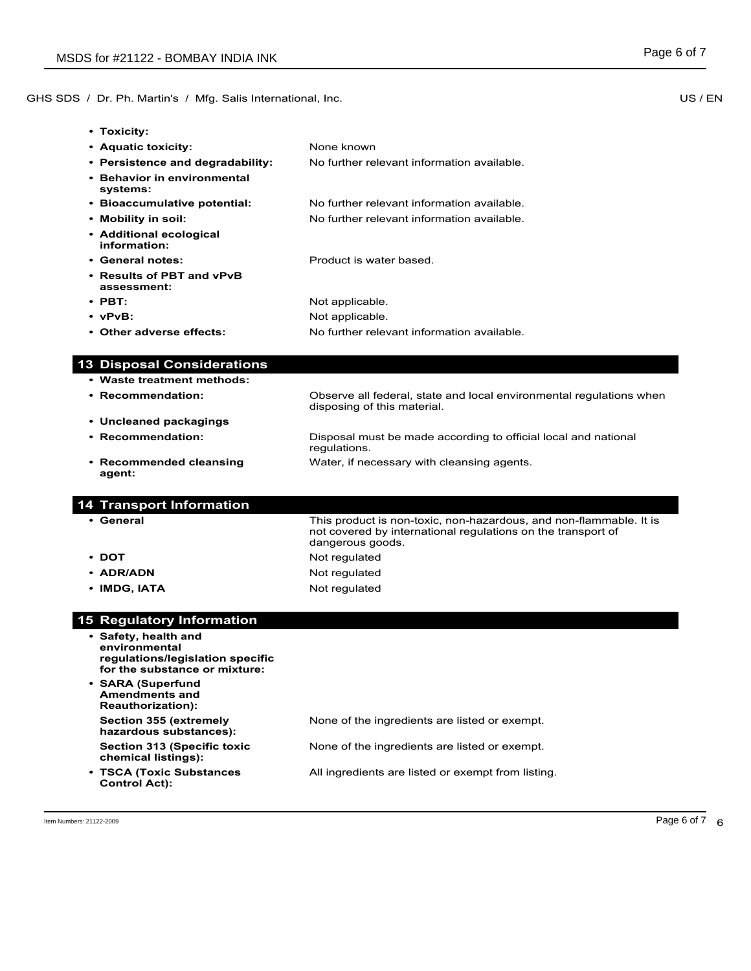GHS SDS / Dr. Ph. Martin's / Mfg. Salis International, Inc. New York Control of the US / EN

**• Toxicity:**

| TOXICILY.                                |                                            |
|------------------------------------------|--------------------------------------------|
| • Aquatic toxicity:                      | None known                                 |
| • Persistence and degradability:         | No further relevant information available. |
| • Behavior in environmental<br>systems:  |                                            |
| • Bioaccumulative potential:             | No further relevant information available. |
| • Mobility in soil:                      | No further relevant information available. |
| • Additional ecological<br>information:  |                                            |
| • General notes:                         | Product is water based.                    |
| • Results of PBT and vPvB<br>assessment: |                                            |
| $\cdot$ PBT:                             | Not applicable.                            |
| $\cdot$ vPvB:                            | Not applicable.                            |

- **• Other adverse effects:** No further relevant information available.
- **13 Disposal Considerations**
- **• Waste treatment methods: • Recommendation:** Observe all federal, state and local environmental regulations when disposing of this material. **• Uncleaned packagings • Recommendation:** Disposal must be made according to official local and national regulations. **• Recommended cleansing agent:** Water, if necessary with cleansing agents.

## **14 Transport Information**

- 
- 
- 
- 

# **• General** This product is non-toxic, non-hazardous, and non-flammable. It is not covered by international regulations on the transport of dangerous goods. • **DOT** Not regulated • **ADR/ADN** Not regulated • **IMDG, IATA** Not regulated

# **15 Regulatory Information**

- **• Safety, health and environmental regulations/legislation specific for the substance or mixture:**
- **• SARA (Superfund Amendments and Reauthorization): Section 355 (extremely hazardous substances): Section 313 (Specific toxic chemical listings):**

**• TSCA (Toxic Substances Control Act):**

None of the ingredients are listed or exempt.

None of the ingredients are listed or exempt.

All ingredients are listed or exempt from listing.